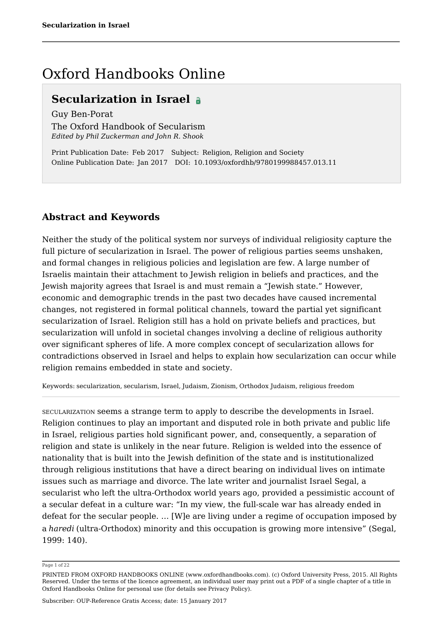## Oxford Handbooks Online

### **Secularization in Israel**

Guy Ben-Porat The Oxford Handbook of Secularism *Edited by Phil Zuckerman and John R. Shook*

Print Publication Date: Feb 2017 Subject: Religion, Religion and Society Online Publication Date: Jan 2017 DOI: 10.1093/oxfordhb/9780199988457.013.11

### **Abstract and Keywords**

Neither the study of the political system nor surveys of individual religiosity capture the full picture of secularization in Israel. The power of religious parties seems unshaken, and formal changes in religious policies and legislation are few. A large number of Israelis maintain their attachment to Jewish religion in beliefs and practices, and the Jewish majority agrees that Israel is and must remain a "Jewish state." However, economic and demographic trends in the past two decades have caused incremental changes, not registered in formal political channels, toward the partial yet significant secularization of Israel. Religion still has a hold on private beliefs and practices, but secularization will unfold in societal changes involving a decline of religious authority over significant spheres of life. A more complex concept of secularization allows for contradictions observed in Israel and helps to explain how secularization can occur while religion remains embedded in state and society.

Keywords: secularization, secularism, Israel, Judaism, Zionism, Orthodox Judaism, religious freedom

SECULARIZATION seems a strange term to apply to describe the developments in Israel. Religion continues to play an important and disputed role in both private and public life in Israel, religious parties hold significant power, and, consequently, a separation of religion and state is unlikely in the near future. Religion is welded into the essence of nationality that is built into the Jewish definition of the state and is institutionalized through religious institutions that have a direct bearing on individual lives on intimate issues such as marriage and divorce. The late writer and journalist Israel Segal, a secularist who left the ultra-Orthodox world years ago, provided a pessimistic account of a secular defeat in a culture war: "In my view, the full-scale war has already ended in defeat for the secular people. … [W]e are living under a regime of occupation imposed by a *haredi* (ultra-Orthodox) minority and this occupation is growing more intensive" (Segal, 1999: 140).

#### Page 1 of 22

PRINTED FROM OXFORD HANDBOOKS ONLINE (www.oxfordhandbooks.com). (c) Oxford University Press, 2015. All Rights Reserved. Under the terms of the licence agreement, an individual user may print out a PDF of a single chapter of a title in Oxford Handbooks Online for personal use (for details see Privacy Policy).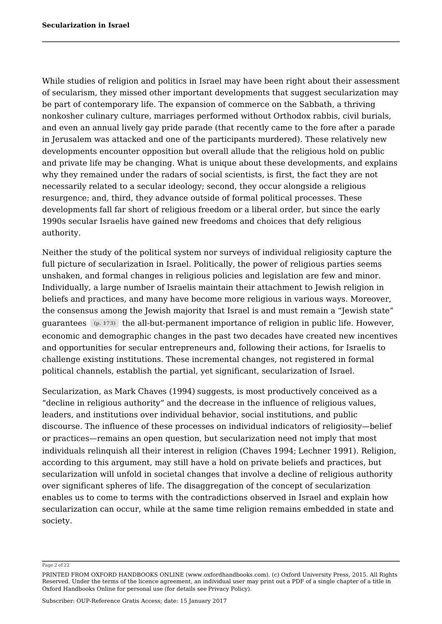While studies of religion and politics in Israel may have been right about their assessment of secularism, they missed other important developments that suggest secularization may be part of contemporary life. The expansion of commerce on the Sabbath, a thriving nonkosher culinary culture, marriages performed without Orthodox rabbis, civil burials, and even an annual lively gay pride parade (that recently came to the fore after a parade in Jerusalem was attacked and one of the participants murdered). These relatively new developments encounter opposition but overall allude that the religious hold on public and private life may be changing. What is unique about these developments, and explains why they remained under the radars of social scientists, is first, the fact they are not necessarily related to a secular ideology; second, they occur alongside a religious resurgence; and, third, they advance outside of formal political processes. These developments fall far short of religious freedom or a liberal order, but since the early 1990s secular Israelis have gained new freedoms and choices that defy religious authority.

Neither the study of the political system nor surveys of individual religiosity capture the full picture of secularization in Israel. Politically, the power of religious parties seems unshaken, and formal changes in religious policies and legislation are few and minor. Individually, a large number of Israelis maintain their attachment to Jewish religion in beliefs and practices, and many have become more religious in various ways. Moreover, the consensus among the Jewish majority that Israel is and must remain a "Jewish state" guarantees **(p. 173)** the all-but-permanent importance of religion in public life. However, economic and demographic changes in the past two decades have created new incentives and opportunities for secular entrepreneurs and, following their actions, for Israelis to challenge existing institutions. These incremental changes, not registered in formal political channels, establish the partial, yet significant, secularization of Israel.

Secularization, as Mark Chaves (1994) suggests, is most productively conceived as a "decline in religious authority" and the decrease in the influence of religious values, leaders, and institutions over individual behavior, social institutions, and public discourse. The influence of these processes on individual indicators of religiosity—belief or practices—remains an open question, but secularization need not imply that most individuals relinquish all their interest in religion (Chaves 1994; Lechner 1991). Religion, according to this argument, may still have a hold on private beliefs and practices, but secularization will unfold in societal changes that involve a decline of religious authority over significant spheres of life. The disaggregation of the concept of secularization enables us to come to terms with the contradictions observed in Israel and explain how secularization can occur, while at the same time religion remains embedded in state and society.

Page 2 of 22

PRINTED FROM OXFORD HANDBOOKS ONLINE (www.oxfordhandbooks.com). (c) Oxford University Press, 2015. All Rights Reserved. Under the terms of the licence agreement, an individual user may print out a PDF of a single chapter of a title in Oxford Handbooks Online for personal use (for details see Privacy Policy).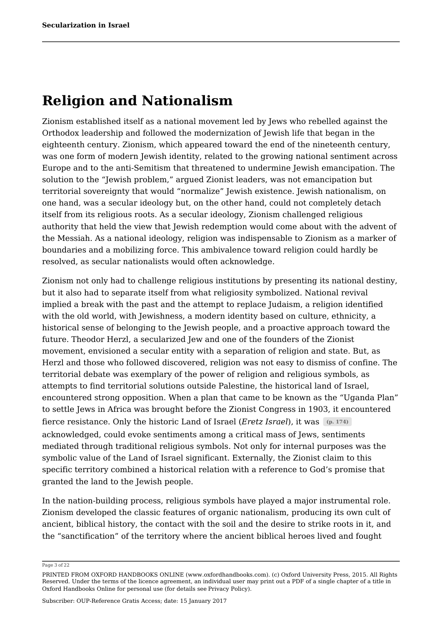# **Religion and Nationalism**

Zionism established itself as a national movement led by Jews who rebelled against the Orthodox leadership and followed the modernization of Jewish life that began in the eighteenth century. Zionism, which appeared toward the end of the nineteenth century, was one form of modern Jewish identity, related to the growing national sentiment across Europe and to the anti-Semitism that threatened to undermine Jewish emancipation. The solution to the "Jewish problem," argued Zionist leaders, was not emancipation but territorial sovereignty that would "normalize" Jewish existence. Jewish nationalism, on one hand, was a secular ideology but, on the other hand, could not completely detach itself from its religious roots. As a secular ideology, Zionism challenged religious authority that held the view that Jewish redemption would come about with the advent of the Messiah. As a national ideology, religion was indispensable to Zionism as a marker of boundaries and a mobilizing force. This ambivalence toward religion could hardly be resolved, as secular nationalists would often acknowledge.

Zionism not only had to challenge religious institutions by presenting its national destiny, but it also had to separate itself from what religiosity symbolized. National revival implied a break with the past and the attempt to replace Judaism, a religion identified with the old world, with Jewishness, a modern identity based on culture, ethnicity, a historical sense of belonging to the Jewish people, and a proactive approach toward the future. Theodor Herzl, a secularized Jew and one of the founders of the Zionist movement, envisioned a secular entity with a separation of religion and state. But, as Herzl and those who followed discovered, religion was not easy to dismiss of confine. The territorial debate was exemplary of the power of religion and religious symbols, as attempts to find territorial solutions outside Palestine, the historical land of Israel, encountered strong opposition. When a plan that came to be known as the "Uganda Plan" to settle Jews in Africa was brought before the Zionist Congress in 1903, it encountered fierce resistance. Only the historic Land of Israel (*Eretz Israel*), it was **(p. 174)** acknowledged, could evoke sentiments among a critical mass of Jews, sentiments mediated through traditional religious symbols. Not only for internal purposes was the symbolic value of the Land of Israel significant. Externally, the Zionist claim to this specific territory combined a historical relation with a reference to God's promise that granted the land to the Jewish people.

In the nation-building process, religious symbols have played a major instrumental role. Zionism developed the classic features of organic nationalism, producing its own cult of ancient, biblical history, the contact with the soil and the desire to strike roots in it, and the "sanctification" of the territory where the ancient biblical heroes lived and fought

Page 3 of 22

PRINTED FROM OXFORD HANDBOOKS ONLINE (www.oxfordhandbooks.com). (c) Oxford University Press, 2015. All Rights Reserved. Under the terms of the licence agreement, an individual user may print out a PDF of a single chapter of a title in Oxford Handbooks Online for personal use (for details see Privacy Policy).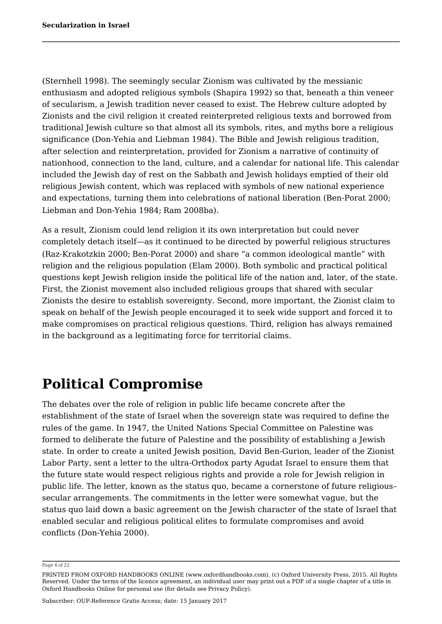(Sternhell 1998). The seemingly secular Zionism was cultivated by the messianic enthusiasm and adopted religious symbols (Shapira 1992) so that, beneath a thin veneer of secularism, a Jewish tradition never ceased to exist. The Hebrew culture adopted by Zionists and the civil religion it created reinterpreted religious texts and borrowed from traditional Jewish culture so that almost all its symbols, rites, and myths bore a religious significance (Don-Yehia and Liebman 1984). The Bible and Jewish religious tradition, after selection and reinterpretation, provided for Zionism a narrative of continuity of nationhood, connection to the land, culture, and a calendar for national life. This calendar included the Jewish day of rest on the Sabbath and Jewish holidays emptied of their old religious Jewish content, which was replaced with symbols of new national experience and expectations, turning them into celebrations of national liberation (Ben-Porat 2000; Liebman and Don-Yehia 1984; Ram 2008ba).

As a result, Zionism could lend religion it its own interpretation but could never completely detach itself—as it continued to be directed by powerful religious structures (Raz-Krakotzkin 2000; Ben-Porat 2000) and share "a common ideological mantle" with religion and the religious population (Elam 2000). Both symbolic and practical political questions kept Jewish religion inside the political life of the nation and, later, of the state. First, the Zionist movement also included religious groups that shared with secular Zionists the desire to establish sovereignty. Second, more important, the Zionist claim to speak on behalf of the Jewish people encouraged it to seek wide support and forced it to make compromises on practical religious questions. Third, religion has always remained in the background as a legitimating force for territorial claims.

## **Political Compromise**

The debates over the role of religion in public life became concrete after the establishment of the state of Israel when the sovereign state was required to define the rules of the game. In 1947, the United Nations Special Committee on Palestine was formed to deliberate the future of Palestine and the possibility of establishing a Jewish state. In order to create a united Jewish position, David Ben-Gurion, leader of the Zionist Labor Party, sent a letter to the ultra-Orthodox party Agudat Israel to ensure them that the future state would respect religious rights and provide a role for Jewish religion in public life. The letter, known as the status quo, became a cornerstone of future religious– secular arrangements. The commitments in the letter were somewhat vague, but the status quo laid down a basic agreement on the Jewish character of the state of Israel that enabled secular and religious political elites to formulate compromises and avoid conflicts (Don-Yehia 2000).

Page 4 of 22

PRINTED FROM OXFORD HANDBOOKS ONLINE (www.oxfordhandbooks.com). (c) Oxford University Press, 2015. All Rights Reserved. Under the terms of the licence agreement, an individual user may print out a PDF of a single chapter of a title in Oxford Handbooks Online for personal use (for details see Privacy Policy).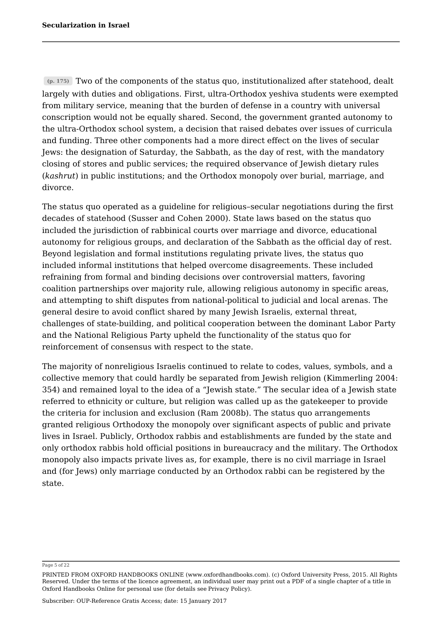**(p. 175)** Two of the components of the status quo, institutionalized after statehood, dealt largely with duties and obligations. First, ultra-Orthodox yeshiva students were exempted from military service, meaning that the burden of defense in a country with universal conscription would not be equally shared. Second, the government granted autonomy to the ultra-Orthodox school system, a decision that raised debates over issues of curricula and funding. Three other components had a more direct effect on the lives of secular Jews: the designation of Saturday, the Sabbath, as the day of rest, with the mandatory closing of stores and public services; the required observance of Jewish dietary rules (*kashrut*) in public institutions; and the Orthodox monopoly over burial, marriage, and divorce.

The status quo operated as a guideline for religious–secular negotiations during the first decades of statehood (Susser and Cohen 2000). State laws based on the status quo included the jurisdiction of rabbinical courts over marriage and divorce, educational autonomy for religious groups, and declaration of the Sabbath as the official day of rest. Beyond legislation and formal institutions regulating private lives, the status quo included informal institutions that helped overcome disagreements. These included refraining from formal and binding decisions over controversial matters, favoring coalition partnerships over majority rule, allowing religious autonomy in specific areas, and attempting to shift disputes from national-political to judicial and local arenas. The general desire to avoid conflict shared by many Jewish Israelis, external threat, challenges of state-building, and political cooperation between the dominant Labor Party and the National Religious Party upheld the functionality of the status quo for reinforcement of consensus with respect to the state.

The majority of nonreligious Israelis continued to relate to codes, values, symbols, and a collective memory that could hardly be separated from Jewish religion (Kimmerling 2004: 354) and remained loyal to the idea of a "Jewish state." The secular idea of a Jewish state referred to ethnicity or culture, but religion was called up as the gatekeeper to provide the criteria for inclusion and exclusion (Ram 2008b). The status quo arrangements granted religious Orthodoxy the monopoly over significant aspects of public and private lives in Israel. Publicly, Orthodox rabbis and establishments are funded by the state and only orthodox rabbis hold official positions in bureaucracy and the military. The Orthodox monopoly also impacts private lives as, for example, there is no civil marriage in Israel and (for Jews) only marriage conducted by an Orthodox rabbi can be registered by the state.

Page 5 of 22

PRINTED FROM OXFORD HANDBOOKS ONLINE (www.oxfordhandbooks.com). (c) Oxford University Press, 2015. All Rights Reserved. Under the terms of the licence agreement, an individual user may print out a PDF of a single chapter of a title in Oxford Handbooks Online for personal use (for details see Privacy Policy).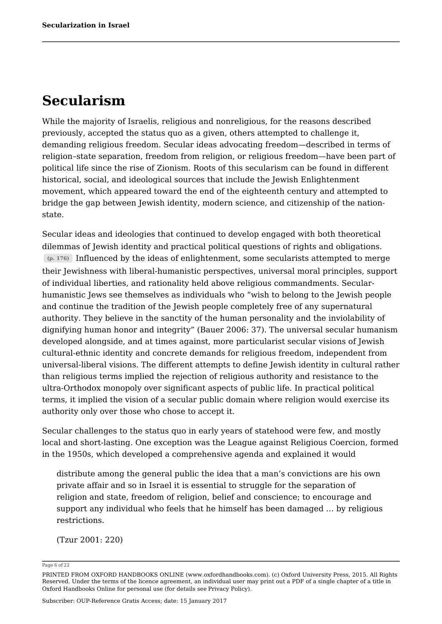## **Secularism**

While the majority of Israelis, religious and nonreligious, for the reasons described previously, accepted the status quo as a given, others attempted to challenge it, demanding religious freedom. Secular ideas advocating freedom—described in terms of religion–state separation, freedom from religion, or religious freedom—have been part of political life since the rise of Zionism. Roots of this secularism can be found in different historical, social, and ideological sources that include the Jewish Enlightenment movement, which appeared toward the end of the eighteenth century and attempted to bridge the gap between Jewish identity, modern science, and citizenship of the nationstate.

Secular ideas and ideologies that continued to develop engaged with both theoretical dilemmas of Jewish identity and practical political questions of rights and obligations. **(p. 176)** Influenced by the ideas of enlightenment, some secularists attempted to merge their Jewishness with liberal-humanistic perspectives, universal moral principles, support of individual liberties, and rationality held above religious commandments. Secularhumanistic Jews see themselves as individuals who "wish to belong to the Jewish people and continue the tradition of the Jewish people completely free of any supernatural authority. They believe in the sanctity of the human personality and the inviolability of dignifying human honor and integrity" (Bauer 2006: 37). The universal secular humanism developed alongside, and at times against, more particularist secular visions of Jewish cultural-ethnic identity and concrete demands for religious freedom, independent from universal-liberal visions. The different attempts to define Jewish identity in cultural rather than religious terms implied the rejection of religious authority and resistance to the ultra-Orthodox monopoly over significant aspects of public life. In practical political terms, it implied the vision of a secular public domain where religion would exercise its authority only over those who chose to accept it.

Secular challenges to the status quo in early years of statehood were few, and mostly local and short-lasting. One exception was the League against Religious Coercion, formed in the 1950s, which developed a comprehensive agenda and explained it would

distribute among the general public the idea that a man's convictions are his own private affair and so in Israel it is essential to struggle for the separation of religion and state, freedom of religion, belief and conscience; to encourage and support any individual who feels that he himself has been damaged … by religious restrictions.

(Tzur 2001: 220)

#### Page 6 of 22

PRINTED FROM OXFORD HANDBOOKS ONLINE (www.oxfordhandbooks.com). (c) Oxford University Press, 2015. All Rights Reserved. Under the terms of the licence agreement, an individual user may print out a PDF of a single chapter of a title in Oxford Handbooks Online for personal use (for details see Privacy Policy).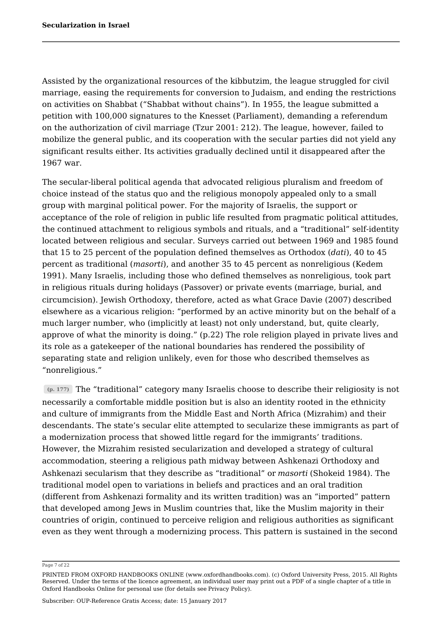Assisted by the organizational resources of the kibbutzim, the league struggled for civil marriage, easing the requirements for conversion to Judaism, and ending the restrictions on activities on Shabbat ("Shabbat without chains"). In 1955, the league submitted a petition with 100,000 signatures to the Knesset (Parliament), demanding a referendum on the authorization of civil marriage (Tzur 2001: 212). The league, however, failed to mobilize the general public, and its cooperation with the secular parties did not yield any significant results either. Its activities gradually declined until it disappeared after the 1967 war.

The secular-liberal political agenda that advocated religious pluralism and freedom of choice instead of the status quo and the religious monopoly appealed only to a small group with marginal political power. For the majority of Israelis, the support or acceptance of the role of religion in public life resulted from pragmatic political attitudes, the continued attachment to religious symbols and rituals, and a "traditional" self-identity located between religious and secular. Surveys carried out between 1969 and 1985 found that 15 to 25 percent of the population defined themselves as Orthodox (*dati*), 40 to 45 percent as traditional (*masorti*), and another 35 to 45 percent as nonreligious (Kedem 1991). Many Israelis, including those who defined themselves as nonreligious, took part in religious rituals during holidays (Passover) or private events (marriage, burial, and circumcision). Jewish Orthodoxy, therefore, acted as what Grace Davie (2007) described elsewhere as a vicarious religion: "performed by an active minority but on the behalf of a much larger number, who (implicitly at least) not only understand, but, quite clearly, approve of what the minority is doing." (p.22) The role religion played in private lives and its role as a gatekeeper of the national boundaries has rendered the possibility of separating state and religion unlikely, even for those who described themselves as "nonreligious."

**(p. 177)** The "traditional" category many Israelis choose to describe their religiosity is not necessarily a comfortable middle position but is also an identity rooted in the ethnicity and culture of immigrants from the Middle East and North Africa (Mizrahim) and their descendants. The state's secular elite attempted to secularize these immigrants as part of a modernization process that showed little regard for the immigrants' traditions. However, the Mizrahim resisted secularization and developed a strategy of cultural accommodation, steering a religious path midway between Ashkenazi Orthodoxy and Ashkenazi secularism that they describe as "traditional" or *masorti* (Shokeid 1984). The traditional model open to variations in beliefs and practices and an oral tradition (different from Ashkenazi formality and its written tradition) was an "imported" pattern that developed among Jews in Muslim countries that, like the Muslim majority in their countries of origin, continued to perceive religion and religious authorities as significant even as they went through a modernizing process. This pattern is sustained in the second

Page 7 of 22

PRINTED FROM OXFORD HANDBOOKS ONLINE (www.oxfordhandbooks.com). (c) Oxford University Press, 2015. All Rights Reserved. Under the terms of the licence agreement, an individual user may print out a PDF of a single chapter of a title in Oxford Handbooks Online for personal use (for details see Privacy Policy).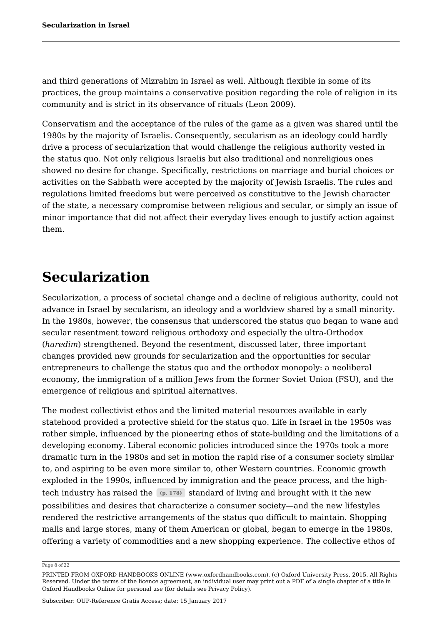and third generations of Mizrahim in Israel as well. Although flexible in some of its practices, the group maintains a conservative position regarding the role of religion in its community and is strict in its observance of rituals (Leon 2009).

Conservatism and the acceptance of the rules of the game as a given was shared until the 1980s by the majority of Israelis. Consequently, secularism as an ideology could hardly drive a process of secularization that would challenge the religious authority vested in the status quo. Not only religious Israelis but also traditional and nonreligious ones showed no desire for change. Specifically, restrictions on marriage and burial choices or activities on the Sabbath were accepted by the majority of Jewish Israelis. The rules and regulations limited freedoms but were perceived as constitutive to the Jewish character of the state, a necessary compromise between religious and secular, or simply an issue of minor importance that did not affect their everyday lives enough to justify action against them.

### **Secularization**

Secularization, a process of societal change and a decline of religious authority, could not advance in Israel by secularism, an ideology and a worldview shared by a small minority. In the 1980s, however, the consensus that underscored the status quo began to wane and secular resentment toward religious orthodoxy and especially the ultra-Orthodox (*haredim*) strengthened. Beyond the resentment, discussed later, three important changes provided new grounds for secularization and the opportunities for secular entrepreneurs to challenge the status quo and the orthodox monopoly: a neoliberal economy, the immigration of a million Jews from the former Soviet Union (FSU), and the emergence of religious and spiritual alternatives.

The modest collectivist ethos and the limited material resources available in early statehood provided a protective shield for the status quo. Life in Israel in the 1950s was rather simple, influenced by the pioneering ethos of state-building and the limitations of a developing economy. Liberal economic policies introduced since the 1970s took a more dramatic turn in the 1980s and set in motion the rapid rise of a consumer society similar to, and aspiring to be even more similar to, other Western countries. Economic growth exploded in the 1990s, influenced by immigration and the peace process, and the hightech industry has raised the **(p. 178)** standard of living and brought with it the new possibilities and desires that characterize a consumer society—and the new lifestyles rendered the restrictive arrangements of the status quo difficult to maintain. Shopping malls and large stores, many of them American or global, began to emerge in the 1980s, offering a variety of commodities and a new shopping experience. The collective ethos of

#### Page 8 of 22

PRINTED FROM OXFORD HANDBOOKS ONLINE (www.oxfordhandbooks.com). (c) Oxford University Press, 2015. All Rights Reserved. Under the terms of the licence agreement, an individual user may print out a PDF of a single chapter of a title in Oxford Handbooks Online for personal use (for details see Privacy Policy).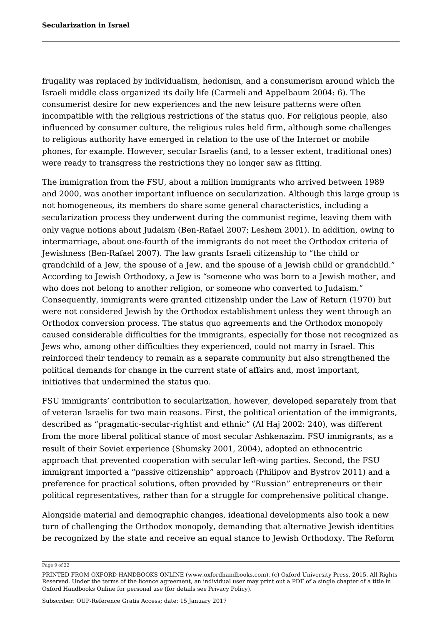frugality was replaced by individualism, hedonism, and a consumerism around which the Israeli middle class organized its daily life (Carmeli and Appelbaum 2004: 6). The consumerist desire for new experiences and the new leisure patterns were often incompatible with the religious restrictions of the status quo. For religious people, also influenced by consumer culture, the religious rules held firm, although some challenges to religious authority have emerged in relation to the use of the Internet or mobile phones, for example. However, secular Israelis (and, to a lesser extent, traditional ones) were ready to transgress the restrictions they no longer saw as fitting.

The immigration from the FSU, about a million immigrants who arrived between 1989 and 2000, was another important influence on secularization. Although this large group is not homogeneous, its members do share some general characteristics, including a secularization process they underwent during the communist regime, leaving them with only vague notions about Judaism (Ben-Rafael 2007; Leshem 2001). In addition, owing to intermarriage, about one-fourth of the immigrants do not meet the Orthodox criteria of Jewishness (Ben-Rafael 2007). The law grants Israeli citizenship to "the child or grandchild of a Jew, the spouse of a Jew, and the spouse of a Jewish child or grandchild." According to Jewish Orthodoxy, a Jew is "someone who was born to a Jewish mother, and who does not belong to another religion, or someone who converted to Judaism." Consequently, immigrants were granted citizenship under the Law of Return (1970) but were not considered Jewish by the Orthodox establishment unless they went through an Orthodox conversion process. The status quo agreements and the Orthodox monopoly caused considerable difficulties for the immigrants, especially for those not recognized as Jews who, among other difficulties they experienced, could not marry in Israel. This reinforced their tendency to remain as a separate community but also strengthened the political demands for change in the current state of affairs and, most important, initiatives that undermined the status quo.

FSU immigrants' contribution to secularization, however, developed separately from that of veteran Israelis for two main reasons. First, the political orientation of the immigrants, described as "pragmatic-secular-rightist and ethnic" (Al Haj 2002: 240), was different from the more liberal political stance of most secular Ashkenazim. FSU immigrants, as a result of their Soviet experience (Shumsky 2001, 2004), adopted an ethnocentric approach that prevented cooperation with secular left-wing parties. Second, the FSU immigrant imported a "passive citizenship" approach (Philipov and Bystrov 2011) and a preference for practical solutions, often provided by "Russian" entrepreneurs or their political representatives, rather than for a struggle for comprehensive political change.

Alongside material and demographic changes, ideational developments also took a new turn of challenging the Orthodox monopoly, demanding that alternative Jewish identities be recognized by the state and receive an equal stance to Jewish Orthodoxy. The Reform

Page 9 of 22

PRINTED FROM OXFORD HANDBOOKS ONLINE (www.oxfordhandbooks.com). (c) Oxford University Press, 2015. All Rights Reserved. Under the terms of the licence agreement, an individual user may print out a PDF of a single chapter of a title in Oxford Handbooks Online for personal use (for details see Privacy Policy).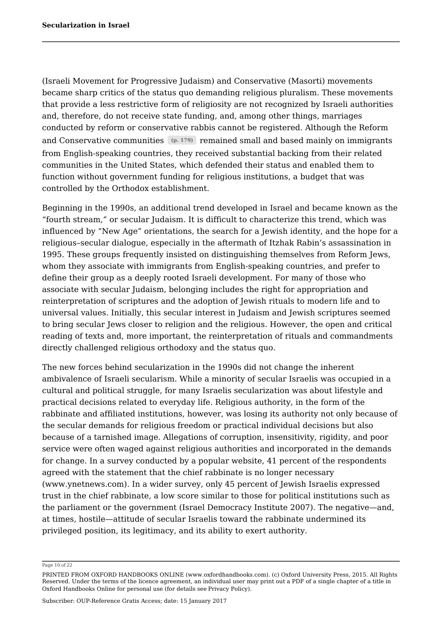(Israeli Movement for Progressive Judaism) and Conservative (Masorti) movements became sharp critics of the status quo demanding religious pluralism. These movements that provide a less restrictive form of religiosity are not recognized by Israeli authorities and, therefore, do not receive state funding, and, among other things, marriages conducted by reform or conservative rabbis cannot be registered. Although the Reform and Conservative communities (p. 179) remained small and based mainly on immigrants from English-speaking countries, they received substantial backing from their related communities in the United States, which defended their status and enabled them to function without government funding for religious institutions, a budget that was controlled by the Orthodox establishment.

Beginning in the 1990s, an additional trend developed in Israel and became known as the "fourth stream," or secular Judaism. It is difficult to characterize this trend, which was influenced by "New Age" orientations, the search for a Jewish identity, and the hope for a religious–secular dialogue, especially in the aftermath of Itzhak Rabin's assassination in 1995. These groups frequently insisted on distinguishing themselves from Reform Jews, whom they associate with immigrants from English-speaking countries, and prefer to define their group as a deeply rooted Israeli development. For many of those who associate with secular Judaism, belonging includes the right for appropriation and reinterpretation of scriptures and the adoption of Jewish rituals to modern life and to universal values. Initially, this secular interest in Judaism and Jewish scriptures seemed to bring secular Jews closer to religion and the religious. However, the open and critical reading of texts and, more important, the reinterpretation of rituals and commandments directly challenged religious orthodoxy and the status quo.

The new forces behind secularization in the 1990s did not change the inherent ambivalence of Israeli secularism. While a minority of secular Israelis was occupied in a cultural and political struggle, for many Israelis secularization was about lifestyle and practical decisions related to everyday life. Religious authority, in the form of the rabbinate and affiliated institutions, however, was losing its authority not only because of the secular demands for religious freedom or practical individual decisions but also because of a tarnished image. Allegations of corruption, insensitivity, rigidity, and poor service were often waged against religious authorities and incorporated in the demands for change. In a survey conducted by a popular website, 41 percent of the respondents agreed with the statement that the chief rabbinate is no longer necessary (www.ynetnews.com). In a wider survey, only 45 percent of Jewish Israelis expressed trust in the chief rabbinate, a low score similar to those for political institutions such as the parliament or the government (Israel Democracy Institute 2007). The negative—and, at times, hostile—attitude of secular Israelis toward the rabbinate undermined its privileged position, its legitimacy, and its ability to exert authority.

Page 10 of 22

PRINTED FROM OXFORD HANDBOOKS ONLINE (www.oxfordhandbooks.com). (c) Oxford University Press, 2015. All Rights Reserved. Under the terms of the licence agreement, an individual user may print out a PDF of a single chapter of a title in Oxford Handbooks Online for personal use (for details see Privacy Policy).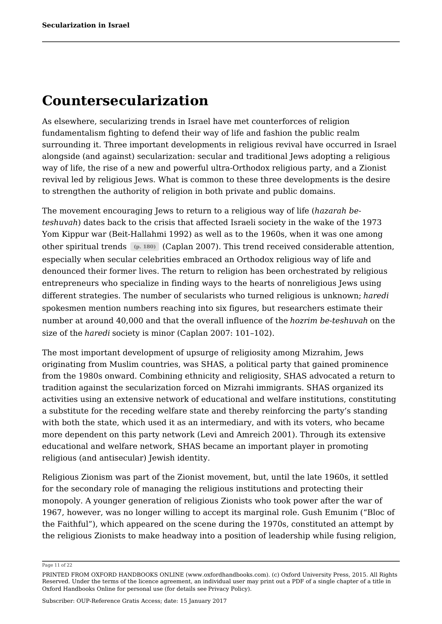## **Countersecularization**

As elsewhere, secularizing trends in Israel have met counterforces of religion fundamentalism fighting to defend their way of life and fashion the public realm surrounding it. Three important developments in religious revival have occurred in Israel alongside (and against) secularization: secular and traditional Jews adopting a religious way of life, the rise of a new and powerful ultra-Orthodox religious party, and a Zionist revival led by religious Jews. What is common to these three developments is the desire to strengthen the authority of religion in both private and public domains.

The movement encouraging Jews to return to a religious way of life (*hazarah beteshuvah*) dates back to the crisis that affected Israeli society in the wake of the 1973 Yom Kippur war (Beit-Hallahmi 1992) as well as to the 1960s, when it was one among other spiritual trends **(p. 180)** (Caplan 2007). This trend received considerable attention, especially when secular celebrities embraced an Orthodox religious way of life and denounced their former lives. The return to religion has been orchestrated by religious entrepreneurs who specialize in finding ways to the hearts of nonreligious Jews using different strategies. The number of secularists who turned religious is unknown; *haredi* spokesmen mention numbers reaching into six figures, but researchers estimate their number at around 40,000 and that the overall influence of the *hozrim be-teshuvah* on the size of the *haredi* society is minor (Caplan 2007: 101–102).

The most important development of upsurge of religiosity among Mizrahim, Jews originating from Muslim countries, was SHAS, a political party that gained prominence from the 1980s onward. Combining ethnicity and religiosity, SHAS advocated a return to tradition against the secularization forced on Mizrahi immigrants. SHAS organized its activities using an extensive network of educational and welfare institutions, constituting a substitute for the receding welfare state and thereby reinforcing the party's standing with both the state, which used it as an intermediary, and with its voters, who became more dependent on this party network (Levi and Amreich 2001). Through its extensive educational and welfare network, SHAS became an important player in promoting religious (and antisecular) Jewish identity.

Religious Zionism was part of the Zionist movement, but, until the late 1960s, it settled for the secondary role of managing the religious institutions and protecting their monopoly. A younger generation of religious Zionists who took power after the war of 1967, however, was no longer willing to accept its marginal role. Gush Emunim ("Bloc of the Faithful"), which appeared on the scene during the 1970s, constituted an attempt by the religious Zionists to make headway into a position of leadership while fusing religion,

Page 11 of 22

PRINTED FROM OXFORD HANDBOOKS ONLINE (www.oxfordhandbooks.com). (c) Oxford University Press, 2015. All Rights Reserved. Under the terms of the licence agreement, an individual user may print out a PDF of a single chapter of a title in Oxford Handbooks Online for personal use (for details see Privacy Policy).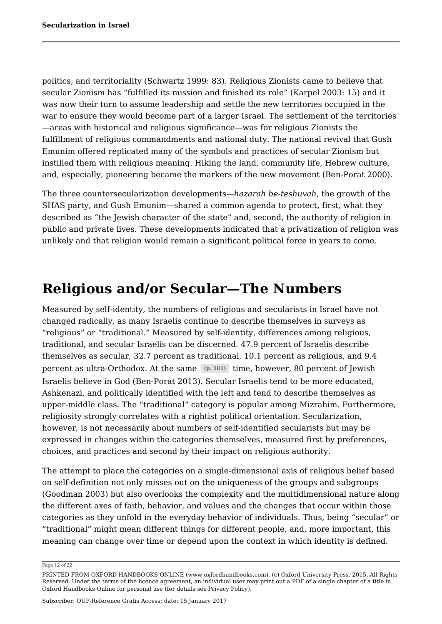politics, and territoriality (Schwartz 1999: 83). Religious Zionists came to believe that secular Zionism has "fulfilled its mission and finished its role" (Karpel 2003: 15) and it was now their turn to assume leadership and settle the new territories occupied in the war to ensure they would become part of a larger Israel. The settlement of the territories —areas with historical and religious significance—was for religious Zionists the fulfillment of religious commandments and national duty. The national revival that Gush Emunim offered replicated many of the symbols and practices of secular Zionism but instilled them with religious meaning. Hiking the land, community life, Hebrew culture, and, especially, pioneering became the markers of the new movement (Ben-Porat 2000).

The three countersecularization developments—*hazarah be-teshuvah*, the growth of the SHAS party, and Gush Emunim—shared a common agenda to protect, first, what they described as "the Jewish character of the state" and, second, the authority of religion in public and private lives. These developments indicated that a privatization of religion was unlikely and that religion would remain a significant political force in years to come.

## **Religious and/or Secular—The Numbers**

Measured by self-identity, the numbers of religious and secularists in Israel have not changed radically, as many Israelis continue to describe themselves in surveys as "religious" or "traditional." Measured by self-identity, differences among religious, traditional, and secular Israelis can be discerned. 47.9 percent of Israelis describe themselves as secular, 32.7 percent as traditional, 10.1 percent as religious, and 9.4 percent as ultra-Orthodox. At the same **(p. 181)** time, however, 80 percent of Jewish Israelis believe in God (Ben-Porat 2013). Secular Israelis tend to be more educated, Ashkenazi, and politically identified with the left and tend to describe themselves as upper-middle class. The "traditional" category is popular among Mizrahim. Furthermore, religiosity strongly correlates with a rightist political orientation. Secularization, however, is not necessarily about numbers of self-identified secularists but may be expressed in changes within the categories themselves, measured first by preferences, choices, and practices and second by their impact on religious authority.

The attempt to place the categories on a single-dimensional axis of religious belief based on self-definition not only misses out on the uniqueness of the groups and subgroups (Goodman 2003) but also overlooks the complexity and the multidimensional nature along the different axes of faith, behavior, and values and the changes that occur within those categories as they unfold in the everyday behavior of individuals. Thus, being "secular" or "traditional" might mean different things for different people, and, more important, this meaning can change over time or depend upon the context in which identity is defined.

Page 12 of 22

PRINTED FROM OXFORD HANDBOOKS ONLINE (www.oxfordhandbooks.com). (c) Oxford University Press, 2015. All Rights Reserved. Under the terms of the licence agreement, an individual user may print out a PDF of a single chapter of a title in Oxford Handbooks Online for personal use (for details see Privacy Policy).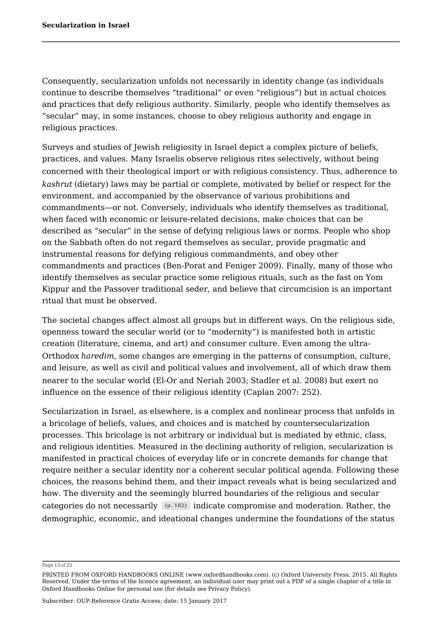Consequently, secularization unfolds not necessarily in identity change (as individuals continue to describe themselves "traditional" or even "religious") but in actual choices and practices that defy religious authority. Similarly, people who identify themselves as "secular" may, in some instances, choose to obey religious authority and engage in religious practices.

Surveys and studies of Jewish religiosity in Israel depict a complex picture of beliefs, practices, and values. Many Israelis observe religious rites selectively, without being concerned with their theological import or with religious consistency. Thus, adherence to *kashrut* (dietary) laws may be partial or complete, motivated by belief or respect for the environment, and accompanied by the observance of various prohibitions and commandments—or not. Conversely, individuals who identify themselves as traditional, when faced with economic or leisure-related decisions, make choices that can be described as "secular" in the sense of defying religious laws or norms. People who shop on the Sabbath often do not regard themselves as secular, provide pragmatic and instrumental reasons for defying religious commandments, and obey other commandments and practices (Ben-Porat and Feniger 2009). Finally, many of those who identify themselves as secular practice some religious rituals, such as the fast on Yom Kippur and the Passover traditional seder, and believe that circumcision is an important ritual that must be observed.

The societal changes affect almost all groups but in different ways. On the religious side, openness toward the secular world (or to "modernity") is manifested both in artistic creation (literature, cinema, and art) and consumer culture. Even among the ultra-Orthodox *haredim*, some changes are emerging in the patterns of consumption, culture, and leisure, as well as civil and political values and involvement, all of which draw them nearer to the secular world (El-Or and Neriah 2003; Stadler et al. 2008) but exert no influence on the essence of their religious identity (Caplan 2007: 252).

Secularization in Israel, as elsewhere, is a complex and nonlinear process that unfolds in a bricolage of beliefs, values, and choices and is matched by countersecularization processes. This bricolage is not arbitrary or individual but is mediated by ethnic, class, and religious identities. Measured in the declining authority of religion, secularization is manifested in practical choices of everyday life or in concrete demands for change that require neither a secular identity nor a coherent secular political agenda. Following these choices, the reasons behind them, and their impact reveals what is being secularized and how. The diversity and the seemingly blurred boundaries of the religious and secular categories do not necessarily **(p. 182)** indicate compromise and moderation. Rather, the demographic, economic, and ideational changes undermine the foundations of the status

Page 13 of 22

PRINTED FROM OXFORD HANDBOOKS ONLINE (www.oxfordhandbooks.com). (c) Oxford University Press, 2015. All Rights Reserved. Under the terms of the licence agreement, an individual user may print out a PDF of a single chapter of a title in Oxford Handbooks Online for personal use (for details see Privacy Policy).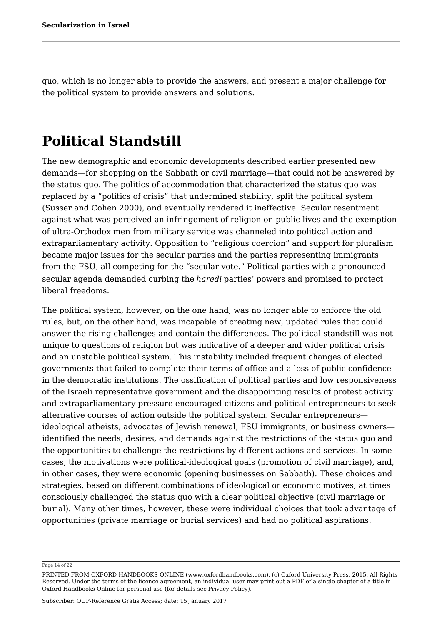quo, which is no longer able to provide the answers, and present a major challenge for the political system to provide answers and solutions.

## **Political Standstill**

The new demographic and economic developments described earlier presented new demands—for shopping on the Sabbath or civil marriage—that could not be answered by the status quo. The politics of accommodation that characterized the status quo was replaced by a "politics of crisis" that undermined stability, split the political system (Susser and Cohen 2000), and eventually rendered it ineffective. Secular resentment against what was perceived an infringement of religion on public lives and the exemption of ultra-Orthodox men from military service was channeled into political action and extraparliamentary activity. Opposition to "religious coercion" and support for pluralism became major issues for the secular parties and the parties representing immigrants from the FSU, all competing for the "secular vote." Political parties with a pronounced secular agenda demanded curbing the *haredi* parties' powers and promised to protect liberal freedoms.

The political system, however, on the one hand, was no longer able to enforce the old rules, but, on the other hand, was incapable of creating new, updated rules that could answer the rising challenges and contain the differences. The political standstill was not unique to questions of religion but was indicative of a deeper and wider political crisis and an unstable political system. This instability included frequent changes of elected governments that failed to complete their terms of office and a loss of public confidence in the democratic institutions. The ossification of political parties and low responsiveness of the Israeli representative government and the disappointing results of protest activity and extraparliamentary pressure encouraged citizens and political entrepreneurs to seek alternative courses of action outside the political system. Secular entrepreneurs ideological atheists, advocates of Jewish renewal, FSU immigrants, or business owners identified the needs, desires, and demands against the restrictions of the status quo and the opportunities to challenge the restrictions by different actions and services. In some cases, the motivations were political-ideological goals (promotion of civil marriage), and, in other cases, they were economic (opening businesses on Sabbath). These choices and strategies, based on different combinations of ideological or economic motives, at times consciously challenged the status quo with a clear political objective (civil marriage or burial). Many other times, however, these were individual choices that took advantage of opportunities (private marriage or burial services) and had no political aspirations.

Page 14 of 22

PRINTED FROM OXFORD HANDBOOKS ONLINE (www.oxfordhandbooks.com). (c) Oxford University Press, 2015. All Rights Reserved. Under the terms of the licence agreement, an individual user may print out a PDF of a single chapter of a title in Oxford Handbooks Online for personal use (for details see Privacy Policy).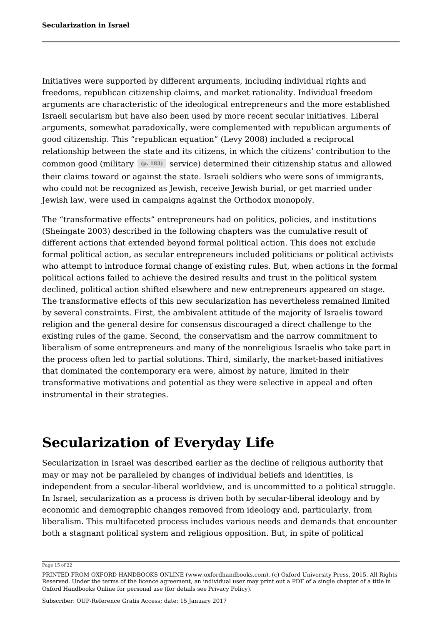Initiatives were supported by different arguments, including individual rights and freedoms, republican citizenship claims, and market rationality. Individual freedom arguments are characteristic of the ideological entrepreneurs and the more established Israeli secularism but have also been used by more recent secular initiatives. Liberal arguments, somewhat paradoxically, were complemented with republican arguments of good citizenship. This "republican equation" (Levy 2008) included a reciprocal relationship between the state and its citizens, in which the citizens' contribution to the common good (military **(p. 183)** service) determined their citizenship status and allowed their claims toward or against the state. Israeli soldiers who were sons of immigrants, who could not be recognized as Jewish, receive Jewish burial, or get married under Jewish law, were used in campaigns against the Orthodox monopoly.

The "transformative effects" entrepreneurs had on politics, policies, and institutions (Sheingate 2003) described in the following chapters was the cumulative result of different actions that extended beyond formal political action. This does not exclude formal political action, as secular entrepreneurs included politicians or political activists who attempt to introduce formal change of existing rules. But, when actions in the formal political actions failed to achieve the desired results and trust in the political system declined, political action shifted elsewhere and new entrepreneurs appeared on stage. The transformative effects of this new secularization has nevertheless remained limited by several constraints. First, the ambivalent attitude of the majority of Israelis toward religion and the general desire for consensus discouraged a direct challenge to the existing rules of the game. Second, the conservatism and the narrow commitment to liberalism of some entrepreneurs and many of the nonreligious Israelis who take part in the process often led to partial solutions. Third, similarly, the market-based initiatives that dominated the contemporary era were, almost by nature, limited in their transformative motivations and potential as they were selective in appeal and often instrumental in their strategies.

## **Secularization of Everyday Life**

Secularization in Israel was described earlier as the decline of religious authority that may or may not be paralleled by changes of individual beliefs and identities, is independent from a secular-liberal worldview, and is uncommitted to a political struggle. In Israel, secularization as a process is driven both by secular-liberal ideology and by economic and demographic changes removed from ideology and, particularly, from liberalism. This multifaceted process includes various needs and demands that encounter both a stagnant political system and religious opposition. But, in spite of political

Page 15 of 22

PRINTED FROM OXFORD HANDBOOKS ONLINE (www.oxfordhandbooks.com). (c) Oxford University Press, 2015. All Rights Reserved. Under the terms of the licence agreement, an individual user may print out a PDF of a single chapter of a title in Oxford Handbooks Online for personal use (for details see Privacy Policy).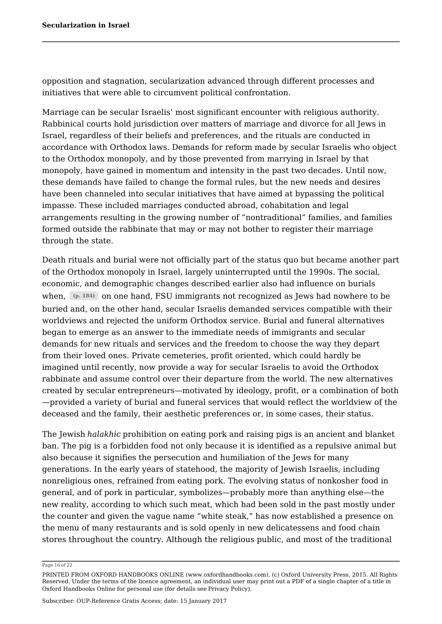opposition and stagnation, secularization advanced through different processes and initiatives that were able to circumvent political confrontation.

Marriage can be secular Israelis' most significant encounter with religious authority. Rabbinical courts hold jurisdiction over matters of marriage and divorce for all Jews in Israel, regardless of their beliefs and preferences, and the rituals are conducted in accordance with Orthodox laws. Demands for reform made by secular Israelis who object to the Orthodox monopoly, and by those prevented from marrying in Israel by that monopoly, have gained in momentum and intensity in the past two decades. Until now, these demands have failed to change the formal rules, but the new needs and desires have been channeled into secular initiatives that have aimed at bypassing the political impasse. These included marriages conducted abroad, cohabitation and legal arrangements resulting in the growing number of "nontraditional" families, and families formed outside the rabbinate that may or may not bother to register their marriage through the state.

Death rituals and burial were not officially part of the status quo but became another part of the Orthodox monopoly in Israel, largely uninterrupted until the 1990s. The social, economic, and demographic changes described earlier also had influence on burials when,  $(p. 184)$  on one hand, FSU immigrants not recognized as Jews had nowhere to be buried and, on the other hand, secular Israelis demanded services compatible with their worldviews and rejected the uniform Orthodox service. Burial and funeral alternatives began to emerge as an answer to the immediate needs of immigrants and secular demands for new rituals and services and the freedom to choose the way they depart from their loved ones. Private cemeteries, profit oriented, which could hardly be imagined until recently, now provide a way for secular Israelis to avoid the Orthodox rabbinate and assume control over their departure from the world. The new alternatives created by secular entrepreneurs—motivated by ideology, profit, or a combination of both —provided a variety of burial and funeral services that would reflect the worldview of the deceased and the family, their aesthetic preferences or, in some cases, their status.

The Jewish *halakhic* prohibition on eating pork and raising pigs is an ancient and blanket ban. The pig is a forbidden food not only because it is identified as a repulsive animal but also because it signifies the persecution and humiliation of the Jews for many generations. In the early years of statehood, the majority of Jewish Israelis, including nonreligious ones, refrained from eating pork. The evolving status of nonkosher food in general, and of pork in particular, symbolizes—probably more than anything else—the new reality, according to which such meat, which had been sold in the past mostly under the counter and given the vague name "white steak," has now established a presence on the menu of many restaurants and is sold openly in new delicatessens and food chain stores throughout the country. Although the religious public, and most of the traditional

Page 16 of 22

PRINTED FROM OXFORD HANDBOOKS ONLINE (www.oxfordhandbooks.com). (c) Oxford University Press, 2015. All Rights Reserved. Under the terms of the licence agreement, an individual user may print out a PDF of a single chapter of a title in Oxford Handbooks Online for personal use (for details see Privacy Policy).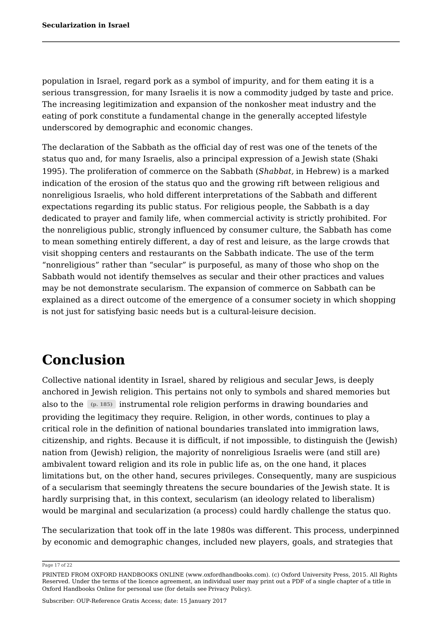population in Israel, regard pork as a symbol of impurity, and for them eating it is a serious transgression, for many Israelis it is now a commodity judged by taste and price. The increasing legitimization and expansion of the nonkosher meat industry and the eating of pork constitute a fundamental change in the generally accepted lifestyle underscored by demographic and economic changes.

The declaration of the Sabbath as the official day of rest was one of the tenets of the status quo and, for many Israelis, also a principal expression of a Jewish state (Shaki 1995). The proliferation of commerce on the Sabbath (*Shabbat,* in Hebrew) is a marked indication of the erosion of the status quo and the growing rift between religious and nonreligious Israelis, who hold different interpretations of the Sabbath and different expectations regarding its public status. For religious people, the Sabbath is a day dedicated to prayer and family life, when commercial activity is strictly prohibited. For the nonreligious public, strongly influenced by consumer culture, the Sabbath has come to mean something entirely different, a day of rest and leisure, as the large crowds that visit shopping centers and restaurants on the Sabbath indicate. The use of the term "nonreligious" rather than "secular" is purposeful, as many of those who shop on the Sabbath would not identify themselves as secular and their other practices and values may be not demonstrate secularism. The expansion of commerce on Sabbath can be explained as a direct outcome of the emergence of a consumer society in which shopping is not just for satisfying basic needs but is a cultural-leisure decision.

# **Conclusion**

Collective national identity in Israel, shared by religious and secular Jews, is deeply anchored in Jewish religion. This pertains not only to symbols and shared memories but also to the **(p. 185)** instrumental role religion performs in drawing boundaries and providing the legitimacy they require. Religion, in other words, continues to play a critical role in the definition of national boundaries translated into immigration laws, citizenship, and rights. Because it is difficult, if not impossible, to distinguish the (Jewish) nation from (Jewish) religion, the majority of nonreligious Israelis were (and still are) ambivalent toward religion and its role in public life as, on the one hand, it places limitations but, on the other hand, secures privileges. Consequently, many are suspicious of a secularism that seemingly threatens the secure boundaries of the Jewish state. It is hardly surprising that, in this context, secularism (an ideology related to liberalism) would be marginal and secularization (a process) could hardly challenge the status quo.

The secularization that took off in the late 1980s was different. This process, underpinned by economic and demographic changes, included new players, goals, and strategies that

Page 17 of 22

PRINTED FROM OXFORD HANDBOOKS ONLINE (www.oxfordhandbooks.com). (c) Oxford University Press, 2015. All Rights Reserved. Under the terms of the licence agreement, an individual user may print out a PDF of a single chapter of a title in Oxford Handbooks Online for personal use (for details see Privacy Policy).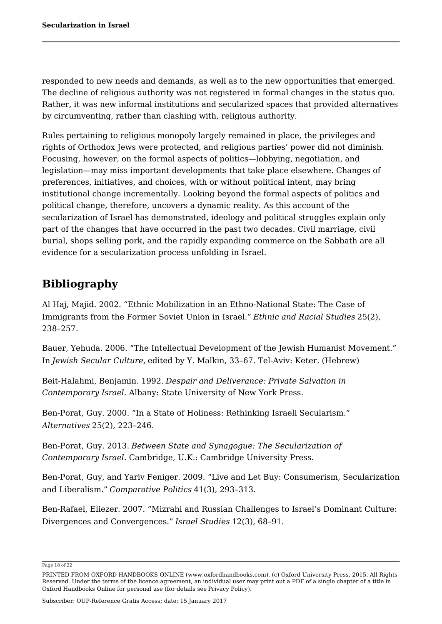responded to new needs and demands, as well as to the new opportunities that emerged. The decline of religious authority was not registered in formal changes in the status quo. Rather, it was new informal institutions and secularized spaces that provided alternatives by circumventing, rather than clashing with, religious authority.

Rules pertaining to religious monopoly largely remained in place, the privileges and rights of Orthodox Jews were protected, and religious parties' power did not diminish. Focusing, however, on the formal aspects of politics—lobbying, negotiation, and legislation—may miss important developments that take place elsewhere. Changes of preferences, initiatives, and choices, with or without political intent, may bring institutional change incrementally. Looking beyond the formal aspects of politics and political change, therefore, uncovers a dynamic reality. As this account of the secularization of Israel has demonstrated, ideology and political struggles explain only part of the changes that have occurred in the past two decades. Civil marriage, civil burial, shops selling pork, and the rapidly expanding commerce on the Sabbath are all evidence for a secularization process unfolding in Israel.

### **Bibliography**

Al Haj, Majid. 2002. "Ethnic Mobilization in an Ethno-National State: The Case of Immigrants from the Former Soviet Union in Israel." *Ethnic and Racial Studies* 25(2), 238–257.

Bauer, Yehuda. 2006. "The Intellectual Development of the Jewish Humanist Movement." In *Jewish Secular Culture,* edited by Y. Malkin, 33–67. Tel-Aviv: Keter. (Hebrew)

Beit-Halahmi, Benjamin. 1992. *Despair and Deliverance: Private Salvation in Contemporary Israel*. Albany: State University of New York Press.

Ben-Porat, Guy. 2000. "In a State of Holiness: Rethinking Israeli Secularism." *Alternatives* 25(2), 223–246.

Ben-Porat, Guy. 2013. *Between State and Synagogue: The Secularization of Contemporary Israel*. Cambridge, U.K.: Cambridge University Press.

Ben-Porat, Guy, and Yariv Feniger. 2009. "Live and Let Buy: Consumerism, Secularization and Liberalism." *Comparative Politics* 41(3), 293–313.

Ben-Rafael, Eliezer. 2007. "Mizrahi and Russian Challenges to Israel's Dominant Culture: Divergences and Convergences." *Israel Studies* 12(3), 68–91.

Page 18 of 22

PRINTED FROM OXFORD HANDBOOKS ONLINE (www.oxfordhandbooks.com). (c) Oxford University Press, 2015. All Rights Reserved. Under the terms of the licence agreement, an individual user may print out a PDF of a single chapter of a title in Oxford Handbooks Online for personal use (for details see Privacy Policy).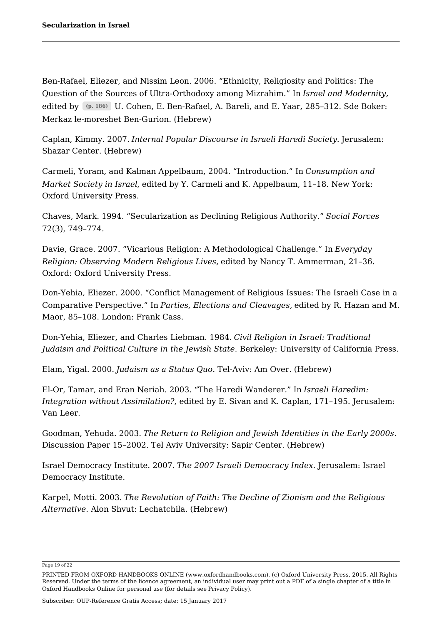Ben-Rafael, Eliezer, and Nissim Leon. 2006. "Ethnicity, Religiosity and Politics: The Question of the Sources of Ultra-Orthodoxy among Mizrahim." In *Israel and Modernity,* edited by **(p. 186)** U. Cohen, E. Ben-Rafael, A. Bareli, and E. Yaar, 285–312. Sde Boker: Merkaz le-moreshet Ben-Gurion. (Hebrew)

Caplan, Kimmy. 2007. *Internal Popular Discourse in Israeli Haredi Society.* Jerusalem: Shazar Center. (Hebrew)

Carmeli, Yoram, and Kalman Appelbaum, 2004. "Introduction." In *Consumption and Market Society in Israel,* edited by Y. Carmeli and K. Appelbaum, 11–18. New York: Oxford University Press.

Chaves, Mark. 1994. "Secularization as Declining Religious Authority." *Social Forces* 72(3), 749–774.

Davie, Grace. 2007. "Vicarious Religion: A Methodological Challenge." In *Everyday Religion: Observing Modern Religious Lives,* edited by Nancy T. Ammerman, 21–36. Oxford: Oxford University Press.

Don-Yehia, Eliezer. 2000. "Conflict Management of Religious Issues: The Israeli Case in a Comparative Perspective." In *Parties, Elections and Cleavages,* edited by R. Hazan and M. Maor, 85–108. London: Frank Cass.

Don-Yehia, Eliezer, and Charles Liebman. 1984. *Civil Religion in Israel: Traditional Judaism and Political Culture in the Jewish State*. Berkeley: University of California Press.

Elam, Yigal. 2000. *Judaism as a Status Quo*. Tel-Aviv: Am Over. (Hebrew)

El-Or, Tamar, and Eran Neriah. 2003. "The Haredi Wanderer." In *Israeli Haredim: Integration without Assimilation?*, edited by E. Sivan and K. Caplan, 171–195. Jerusalem: Van Leer.

Goodman, Yehuda. 2003. *The Return to Religion and Jewish Identities in the Early 2000s*. Discussion Paper 15–2002. Tel Aviv University: Sapir Center. (Hebrew)

Israel Democracy Institute. 2007. *The 2007 Israeli Democracy Index*. Jerusalem: Israel Democracy Institute.

Karpel, Motti. 2003. *The Revolution of Faith: The Decline of Zionism and the Religious Alternative*. Alon Shvut: Lechatchila. (Hebrew)

Page 19 of 22

PRINTED FROM OXFORD HANDBOOKS ONLINE (www.oxfordhandbooks.com). (c) Oxford University Press, 2015. All Rights Reserved. Under the terms of the licence agreement, an individual user may print out a PDF of a single chapter of a title in Oxford Handbooks Online for personal use (for details see Privacy Policy).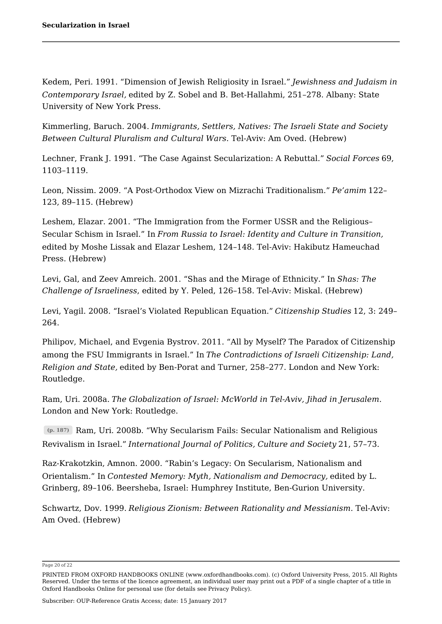Kedem, Peri. 1991. "Dimension of Jewish Religiosity in Israel." *Jewishness and Judaism in Contemporary Israel,* edited by Z. Sobel and B. Bet-Hallahmi, 251–278. Albany: State University of New York Press.

Kimmerling, Baruch. 2004. *Immigrants, Settlers, Natives: The Israeli State and Society Between Cultural Pluralism and Cultural Wars*. Tel-Aviv: Am Oved. (Hebrew)

Lechner, Frank J. 1991. "The Case Against Secularization: A Rebuttal." *Social Forces* 69, 1103–1119.

Leon, Nissim. 2009. "A Post-Orthodox View on Mizrachi Traditionalism." *Pe'amim* 122– 123, 89–115. (Hebrew)

Leshem, Elazar. 2001. "The Immigration from the Former USSR and the Religious– Secular Schism in Israel." In *From Russia to Israel: Identity and Culture in Transition,* edited by Moshe Lissak and Elazar Leshem, 124–148. Tel-Aviv: Hakibutz Hameuchad Press. (Hebrew)

Levi, Gal, and Zeev Amreich. 2001. "Shas and the Mirage of Ethnicity." In *Shas: The Challenge of Israeliness*, edited by Y. Peled, 126–158. Tel-Aviv: Miskal. (Hebrew)

Levi, Yagil. 2008. "Israel's Violated Republican Equation." *Citizenship Studies* 12, 3: 249– 264.

Philipov, Michael, and Evgenia Bystrov. 2011. "All by Myself? The Paradox of Citizenship among the FSU Immigrants in Israel." In *The Contradictions of Israeli Citizenship: Land, Religion and State,* edited by Ben-Porat and Turner, 258–277. London and New York: Routledge.

Ram, Uri. 2008a. *The Globalization of Israel: McWorld in Tel-Aviv, Jihad in Jerusalem*. London and New York: Routledge.

**(p. 187)** Ram, Uri. 2008b. "Why Secularism Fails: Secular Nationalism and Religious Revivalism in Israel." *International Journal of Politics, Culture and Society* 21, 57–73.

Raz-Krakotzkin, Amnon. 2000. "Rabin's Legacy: On Secularism, Nationalism and Orientalism." In *Contested Memory: Myth, Nationalism and Democracy,* edited by L. Grinberg, 89–106. Beersheba, Israel: Humphrey Institute, Ben-Gurion University.

Schwartz, Dov. 1999. *Religious Zionism: Between Rationality and Messianism*. Tel-Aviv: Am Oved. (Hebrew)

Page 20 of 22

PRINTED FROM OXFORD HANDBOOKS ONLINE (www.oxfordhandbooks.com). (c) Oxford University Press, 2015. All Rights Reserved. Under the terms of the licence agreement, an individual user may print out a PDF of a single chapter of a title in Oxford Handbooks Online for personal use (for details see Privacy Policy).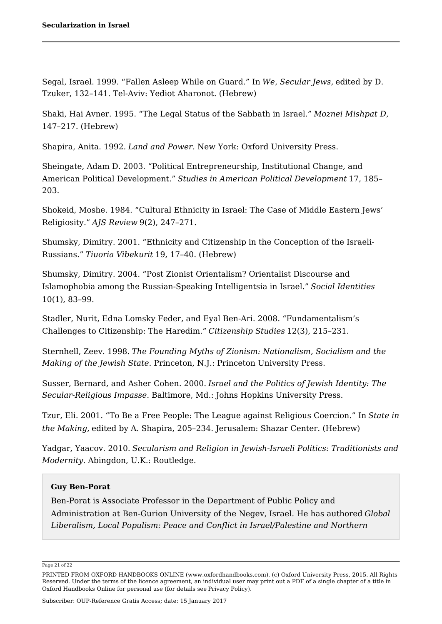Segal, Israel. 1999. "Fallen Asleep While on Guard." In *We, Secular Jews,* edited by D. Tzuker, 132–141. Tel-Aviv: Yediot Aharonot. (Hebrew)

Shaki, Hai Avner. 1995. "The Legal Status of the Sabbath in Israel." *Moznei Mishpat D,* 147–217. (Hebrew)

Shapira, Anita. 1992. *Land and Power*. New York: Oxford University Press.

Sheingate, Adam D. 2003. "Political Entrepreneurship, Institutional Change, and American Political Development." *Studies in American Political Development* 17, 185– 203.

Shokeid, Moshe. 1984. "Cultural Ethnicity in Israel: The Case of Middle Eastern Jews' Religiosity." *AJS Review* 9(2), 247–271.

Shumsky, Dimitry. 2001. "Ethnicity and Citizenship in the Conception of the Israeli-Russians." *Tiuoria Vibekurit* 19, 17–40. (Hebrew)

Shumsky, Dimitry. 2004. "Post Zionist Orientalism? Orientalist Discourse and Islamophobia among the Russian-Speaking Intelligentsia in Israel." *Social Identities* 10(1), 83–99.

Stadler, Nurit, Edna Lomsky Feder, and Eyal Ben-Ari. 2008. "Fundamentalism's Challenges to Citizenship: The Haredim." *Citizenship Studies* 12(3), 215–231.

Sternhell, Zeev. 1998. *The Founding Myths of Zionism: Nationalism, Socialism and the Making of the Jewish State*. Princeton, N.J.: Princeton University Press.

Susser, Bernard, and Asher Cohen. 2000. *Israel and the Politics of Jewish Identity: The Secular-Religious Impasse*. Baltimore, Md.: Johns Hopkins University Press.

Tzur, Eli. 2001. "To Be a Free People: The League against Religious Coercion." In *State in the Making,* edited by A. Shapira, 205–234. Jerusalem: Shazar Center. (Hebrew)

Yadgar, Yaacov. 2010. *Secularism and Religion in Jewish-Israeli Politics: Traditionists and Modernity*. Abingdon, U.K.: Routledge.

### **Guy Ben-Porat**

Ben-Porat is Associate Professor in the Department of Public Policy and Administration at Ben-Gurion University of the Negev, Israel. He has authored *Global Liberalism, Local Populism: Peace and Conflict in Israel/Palestine and Northern*

Page 21 of 22

PRINTED FROM OXFORD HANDBOOKS ONLINE (www.oxfordhandbooks.com). (c) Oxford University Press, 2015. All Rights Reserved. Under the terms of the licence agreement, an individual user may print out a PDF of a single chapter of a title in Oxford Handbooks Online for personal use (for details see Privacy Policy).